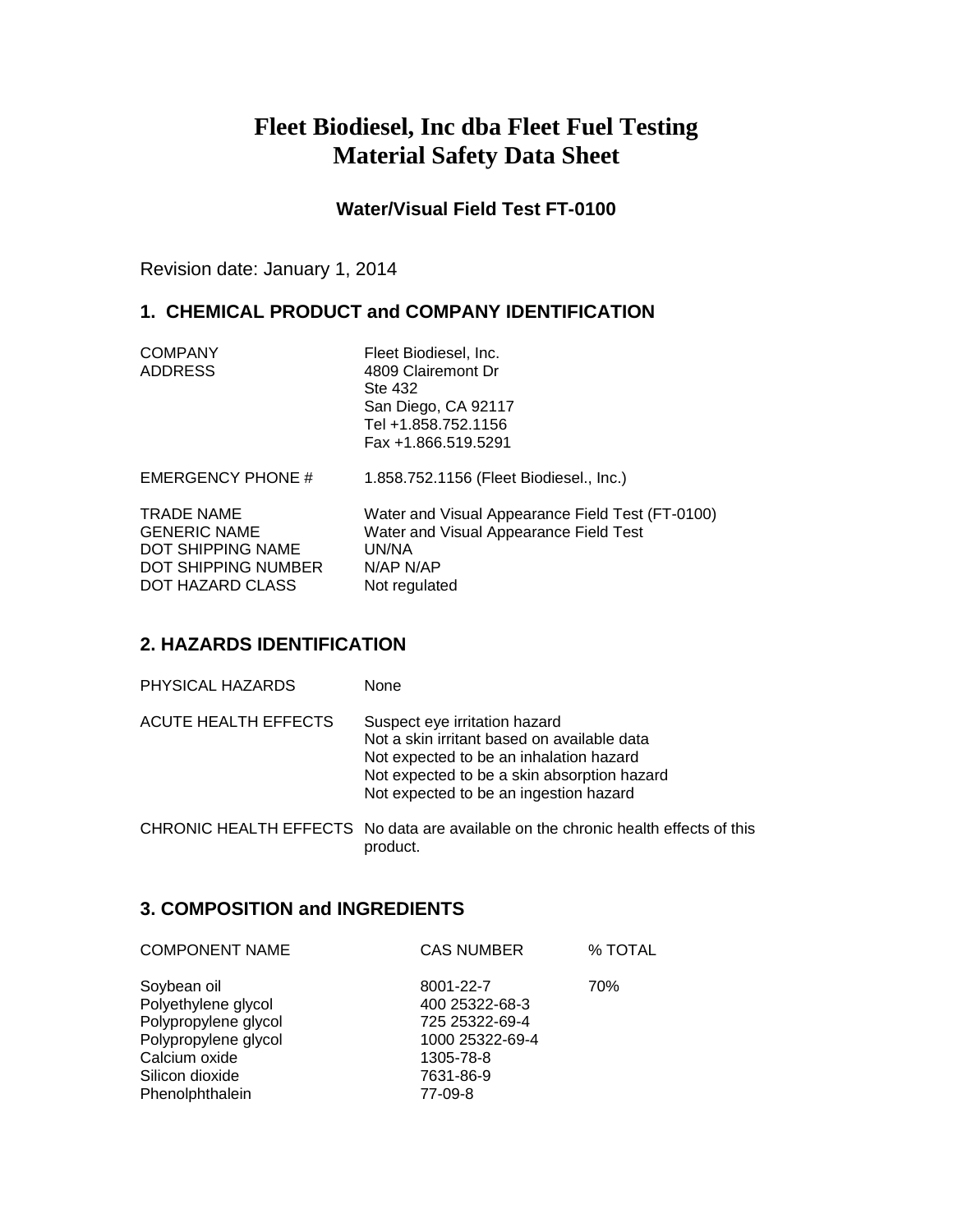# **Fleet Biodiesel, Inc dba Fleet Fuel Testing Material Safety Data Sheet**

**Water/Visual Field Test FT-0100**

Revision date: January 1, 2014

# **1. CHEMICAL PRODUCT and COMPANY IDENTIFICATION**

| <b>COMPANY</b> | Fleet Biodiesel, Inc. |
|----------------|-----------------------|
| <b>ADDRESS</b> | 4809 Clairemont Dr    |
|                | Ste 432               |
|                | San Diego, CA 92117   |
|                | Tel +1.858.752.1156   |
|                | Fax +1.866.519.5291   |

EMERGENCY PHONE # 1.858.752.1156 (Fleet Biodiesel., Inc.)

TRADE NAME Water and Visual Appearance Field Test (FT-0100)<br>GENERIC NAME Water and Visual Appearance Field Test GENERIC NAME Water and Visual Appearance Field Test DOT SHIPPING NAME UN/NA DOT SHIPPING NUMBER N/AP N/AP DOT HAZARD CLASS Not regulated

### **2. HAZARDS IDENTIFICATION**

| PHYSICAL HAZARDS | None |
|------------------|------|
|                  |      |

| ACUTE HEALTH EFFECTS | Suspect eye irritation hazard               |
|----------------------|---------------------------------------------|
|                      | Not a skin irritant based on available data |
|                      | Not expected to be an inhalation hazard     |
|                      | Not expected to be a skin absorption hazard |
|                      | Not expected to be an ingestion hazard      |

CHRONIC HEALTH EFFECTS No data are available on the chronic health effects of this product.

### **3. COMPOSITION and INGREDIENTS**

| <b>COMPONENT NAME</b> | <b>CAS NUMBER</b> | % TOTAL |
|-----------------------|-------------------|---------|
| Soybean oil           | 8001-22-7         | 70%     |
| Polyethylene glycol   | 400 25322-68-3    |         |
| Polypropylene glycol  | 725 25322-69-4    |         |
| Polypropylene glycol  | 1000 25322-69-4   |         |
| Calcium oxide         | 1305-78-8         |         |
| Silicon dioxide       | 7631-86-9         |         |
| Phenolphthalein       | 77-09-8           |         |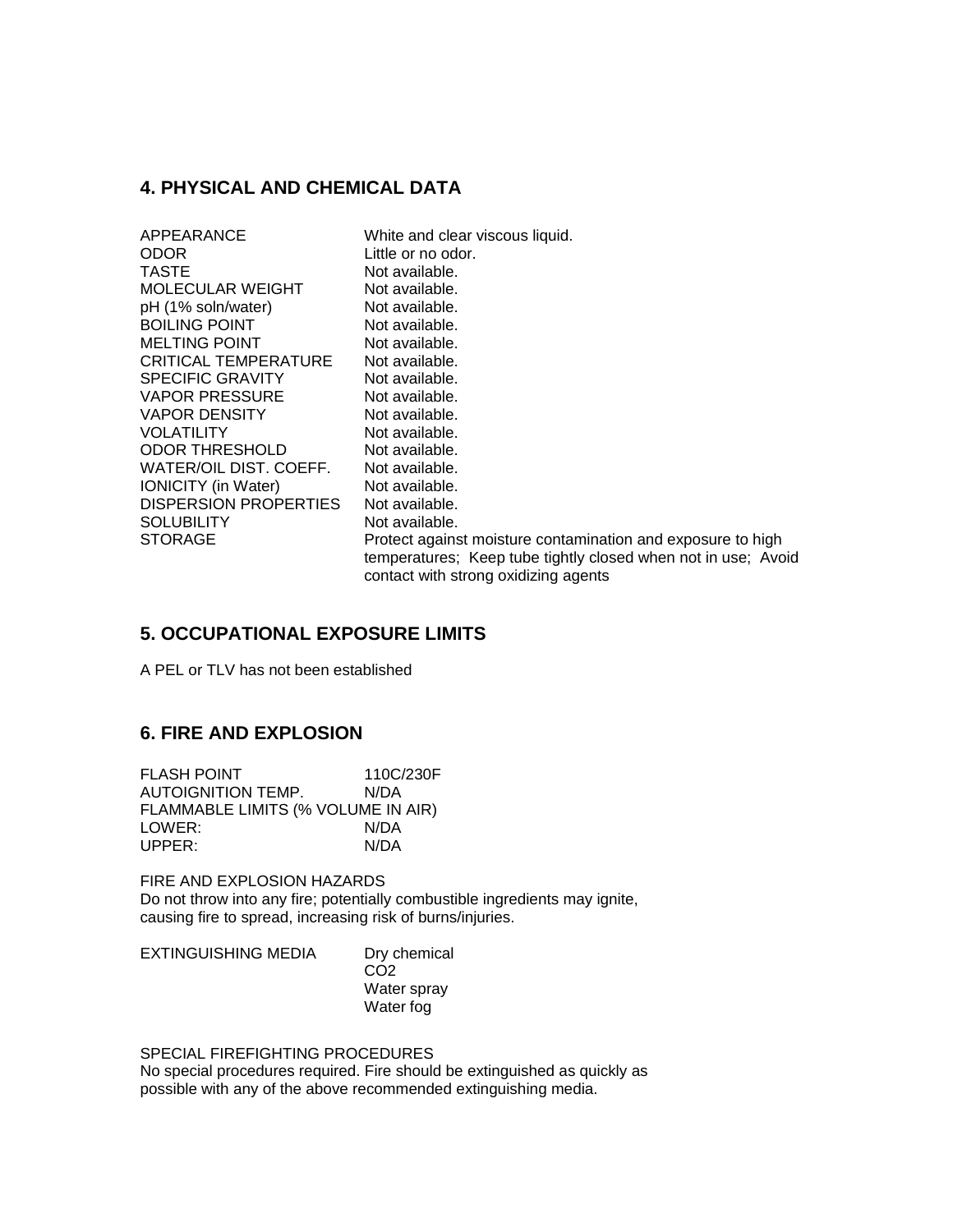### **4. PHYSICAL AND CHEMICAL DATA**

| APPEARANCE             | White and clear viscous liquid.                               |
|------------------------|---------------------------------------------------------------|
| ODOR                   | Little or no odor.                                            |
| TASTE                  | Not available.                                                |
| MOLECULAR WEIGHT       | Not available.                                                |
| pH (1% soln/water)     | Not available.                                                |
| <b>BOILING POINT</b>   | Not available.                                                |
| MELTING POINT          | Not available.                                                |
| CRITICAL TEMPERATURE   | Not available.                                                |
| SPECIFIC GRAVITY       | Not available.                                                |
| VAPOR PRESSURE         | Not available.                                                |
| VAPOR DENSITY          | Not available.                                                |
| VOLATILITY             | Not available.                                                |
| ODOR THRESHOLD         | Not available.                                                |
| WATER/OIL DIST. COEFF. | Not available.                                                |
| IONICITY (in Water)    | Not available.                                                |
| DISPERSION PROPERTIES  | Not available.                                                |
| SOLUBILITY             | Not available.                                                |
| STORAGE                | Protect against moisture contamination and exposure to high   |
|                        | temperatures; Keep tube tightly closed when not in use; Avoid |
|                        | contact with strong oxidizing agents                          |

### **5. OCCUPATIONAL EXPOSURE LIMITS**

A PEL or TLV has not been established

### **6. FIRE AND EXPLOSION**

| <b>FLASH POINT</b>                 | 110C/230F |
|------------------------------------|-----------|
| AUTOIGNITION TEMP.                 | N/DA      |
| FLAMMABLE LIMITS (% VOLUME IN AIR) |           |
| LOWER:                             | N/DA      |
| UPPER:                             | N/DA      |

FIRE AND EXPLOSION HAZARDS Do not throw into any fire; potentially combustible ingredients may ignite, causing fire to spread, increasing risk of burns/injuries.

| <b>EXTINGUISHING MEDIA</b> | Dry chemical    |
|----------------------------|-----------------|
|                            | CO <sub>2</sub> |
|                            | Water spray     |
|                            | Water fog       |

#### SPECIAL FIREFIGHTING PROCEDURES

No special procedures required. Fire should be extinguished as quickly as possible with any of the above recommended extinguishing media.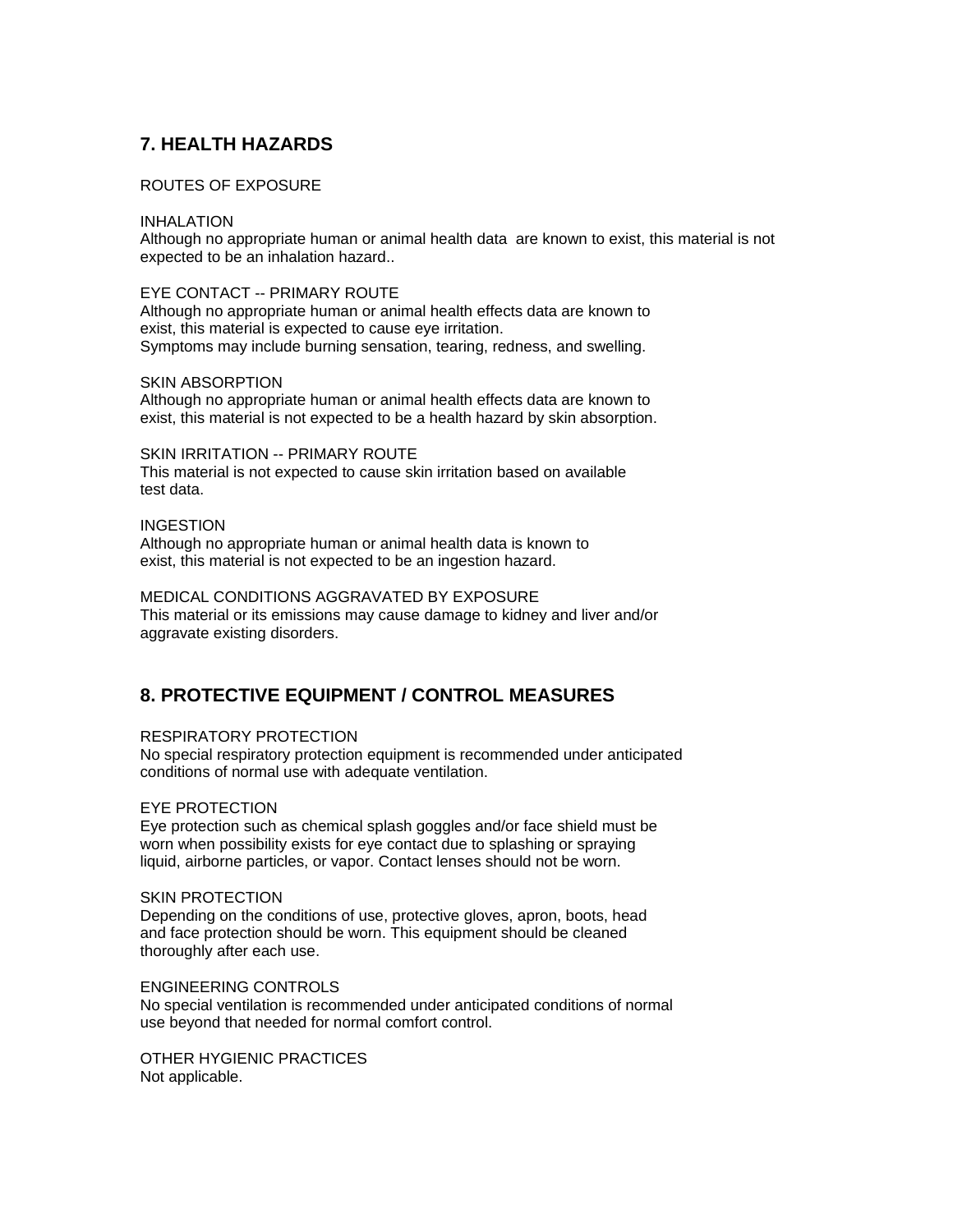# **7. HEALTH HAZARDS**

#### ROUTES OF EXPOSURE

#### INHALATION

Although no appropriate human or animal health data are known to exist, this material is not expected to be an inhalation hazard..

#### EYE CONTACT -- PRIMARY ROUTE

Although no appropriate human or animal health effects data are known to exist, this material is expected to cause eye irritation. Symptoms may include burning sensation, tearing, redness, and swelling.

#### SKIN ABSORPTION

Although no appropriate human or animal health effects data are known to exist, this material is not expected to be a health hazard by skin absorption.

#### SKIN IRRITATION -- PRIMARY ROUTE This material is not expected to cause skin irritation based on available test data.

#### INGESTION

Although no appropriate human or animal health data is known to exist, this material is not expected to be an ingestion hazard.

MEDICAL CONDITIONS AGGRAVATED BY EXPOSURE This material or its emissions may cause damage to kidney and liver and/or aggravate existing disorders.

# **8. PROTECTIVE EQUIPMENT / CONTROL MEASURES**

### RESPIRATORY PROTECTION

No special respiratory protection equipment is recommended under anticipated conditions of normal use with adequate ventilation.

### EYE PROTECTION

Eye protection such as chemical splash goggles and/or face shield must be worn when possibility exists for eye contact due to splashing or spraying liquid, airborne particles, or vapor. Contact lenses should not be worn.

#### SKIN PROTECTION

Depending on the conditions of use, protective gloves, apron, boots, head and face protection should be worn. This equipment should be cleaned thoroughly after each use.

#### ENGINEERING CONTROLS

No special ventilation is recommended under anticipated conditions of normal use beyond that needed for normal comfort control.

OTHER HYGIENIC PRACTICES Not applicable.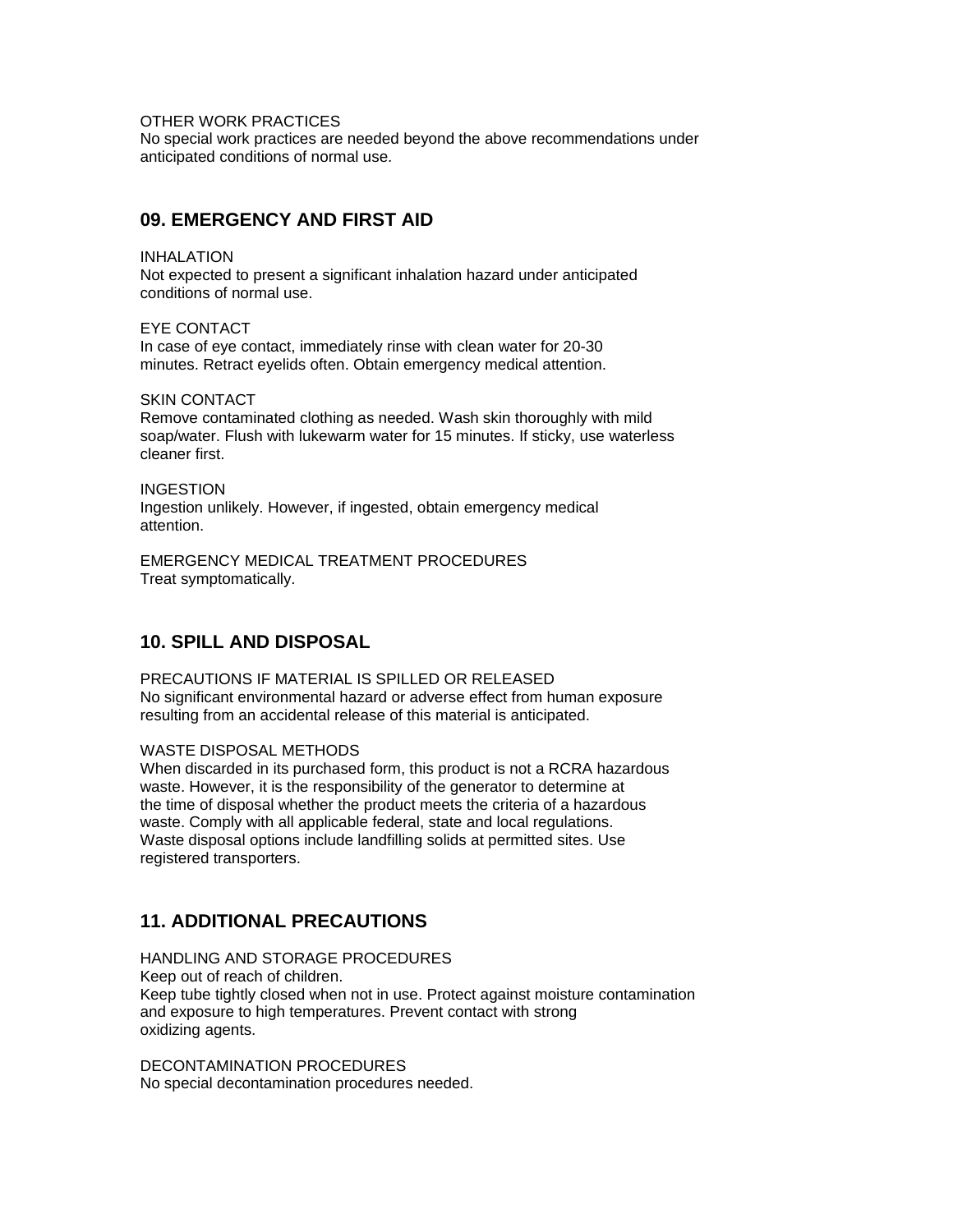OTHER WORK PRACTICES

No special work practices are needed beyond the above recommendations under anticipated conditions of normal use.

### **09. EMERGENCY AND FIRST AID**

INHALATION Not expected to present a significant inhalation hazard under anticipated conditions of normal use.

EYE CONTACT In case of eye contact, immediately rinse with clean water for 20-30 minutes. Retract eyelids often. Obtain emergency medical attention.

SKIN CONTACT

Remove contaminated clothing as needed. Wash skin thoroughly with mild soap/water. Flush with lukewarm water for 15 minutes. If sticky, use waterless cleaner first.

**INGESTION** Ingestion unlikely. However, if ingested, obtain emergency medical attention.

EMERGENCY MEDICAL TREATMENT PROCEDURES Treat symptomatically.

### **10. SPILL AND DISPOSAL**

PRECAUTIONS IF MATERIAL IS SPILLED OR RELEASED No significant environmental hazard or adverse effect from human exposure resulting from an accidental release of this material is anticipated.

#### WASTE DISPOSAL METHODS

When discarded in its purchased form, this product is not a RCRA hazardous waste. However, it is the responsibility of the generator to determine at the time of disposal whether the product meets the criteria of a hazardous waste. Comply with all applicable federal, state and local regulations. Waste disposal options include landfilling solids at permitted sites. Use registered transporters.

### **11. ADDITIONAL PRECAUTIONS**

HANDLING AND STORAGE PROCEDURES Keep out of reach of children. Keep tube tightly closed when not in use. Protect against moisture contamination and exposure to high temperatures. Prevent contact with strong oxidizing agents.

DECONTAMINATION PROCEDURES No special decontamination procedures needed.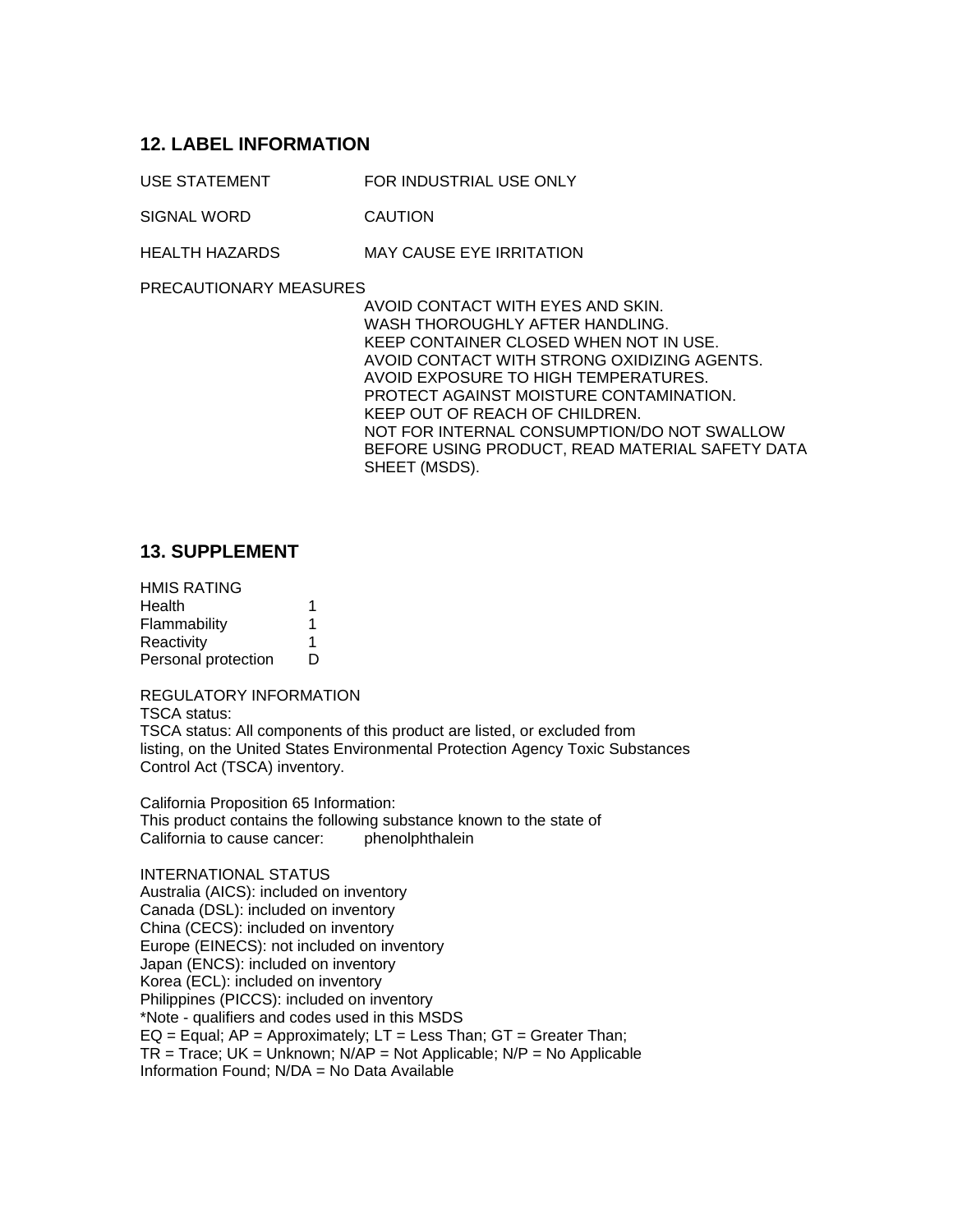### **12. LABEL INFORMATION**

USE STATEMENT FOR INDUSTRIAL USE ONLY

SIGNAL WORD CAUTION

HEALTH HAZARDS MAY CAUSE EYE IRRITATION

PRECAUTIONARY MEASURES

AVOID CONTACT WITH EYES AND SKIN. WASH THOROUGHLY AFTER HANDLING. KEEP CONTAINER CLOSED WHEN NOT IN USE. AVOID CONTACT WITH STRONG OXIDIZING AGENTS. AVOID EXPOSURE TO HIGH TEMPERATURES. PROTECT AGAINST MOISTURE CONTAMINATION. KEEP OUT OF REACH OF CHILDREN. NOT FOR INTERNAL CONSUMPTION/DO NOT SWALLOW BEFORE USING PRODUCT, READ MATERIAL SAFETY DATA SHEET (MSDS).

### **13. SUPPLEMENT**

| <b>HMIS RATING</b>  |   |
|---------------------|---|
| Health              | 1 |
| Flammability        | 1 |
| Reactivity          | 1 |
| Personal protection | D |

REGULATORY INFORMATION TSCA status: TSCA status: All components of this product are listed, or excluded from listing, on the United States Environmental Protection Agency Toxic Substances Control Act (TSCA) inventory.

California Proposition 65 Information: This product contains the following substance known to the state of California to cause cancer: phenolphthalein

INTERNATIONAL STATUS Australia (AICS): included on inventory Canada (DSL): included on inventory China (CECS): included on inventory Europe (EINECS): not included on inventory Japan (ENCS): included on inventory Korea (ECL): included on inventory Philippines (PICCS): included on inventory \*Note - qualifiers and codes used in this MSDS EQ = Equal;  $AP =$  Approximately;  $LT =$  Less Than;  $GT =$  Greater Than;  $TR$  = Trace; UK = Unknown; N/AP = Not Applicable; N/P = No Applicable Information Found; N/DA = No Data Available